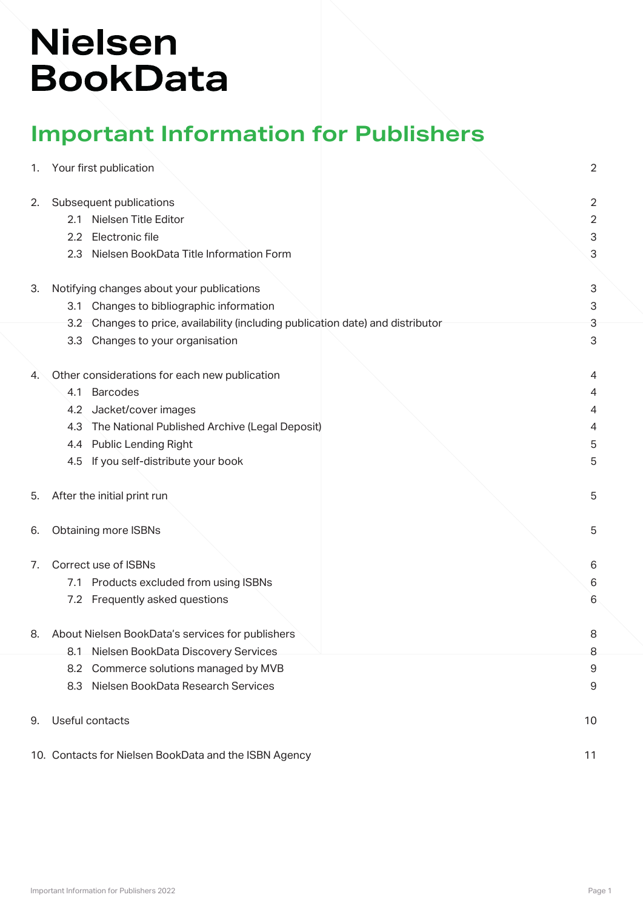# **Nielsen BookData**

## **Important Information for Publishers**

| 1.                    |                                           | Your first publication                                                      | $\overline{2}$ |
|-----------------------|-------------------------------------------|-----------------------------------------------------------------------------|----------------|
| 2.                    |                                           | Subsequent publications                                                     | $\overline{2}$ |
|                       | 2.1                                       | Nielsen Title Editor                                                        | $\overline{c}$ |
|                       | 2.2                                       | Electronic file                                                             | 3              |
|                       | 2.3                                       | Nielsen BookData Title Information Form                                     | 3              |
|                       |                                           |                                                                             |                |
| 3.                    | Notifying changes about your publications |                                                                             | 3              |
|                       | 3.1                                       | Changes to bibliographic information                                        | 3              |
|                       | 3.2                                       | Changes to price, availability (including publication date) and distributor | 3              |
|                       | 3.3                                       | Changes to your organisation                                                | 3              |
| 4.                    |                                           | Other considerations for each new publication                               | 4              |
|                       | 4.1                                       | <b>Barcodes</b>                                                             | 4              |
|                       | 4.2                                       | Jacket/cover images                                                         | 4              |
|                       | 4.3                                       | The National Published Archive (Legal Deposit)                              | $\overline{4}$ |
|                       | 4.4                                       | <b>Public Lending Right</b>                                                 | 5              |
|                       | 4.5                                       | If you self-distribute your book                                            | 5              |
|                       |                                           |                                                                             |                |
| 5.                    |                                           | After the initial print run                                                 | 5              |
| 6.                    |                                           | Obtaining more ISBNs                                                        | 5              |
| 7.                    |                                           | Correct use of ISBNs                                                        | 6              |
|                       |                                           | 7.1 Products excluded from using ISBNs                                      | 6              |
|                       |                                           | 7.2 Frequently asked questions                                              | 6              |
|                       |                                           |                                                                             |                |
| 8.                    |                                           | About Nielsen BookData's services for publishers                            | 8              |
|                       | 8.1                                       | Nielsen BookData Discovery Services                                         | 8              |
|                       | 8.2                                       | Commerce solutions managed by MVB                                           | 9              |
|                       | 8.3                                       | Nielsen BookData Research Services                                          | 9              |
| Useful contacts<br>9. |                                           |                                                                             | 10             |
|                       |                                           | 10. Contacts for Nielsen BookData and the ISBN Agency                       | 11             |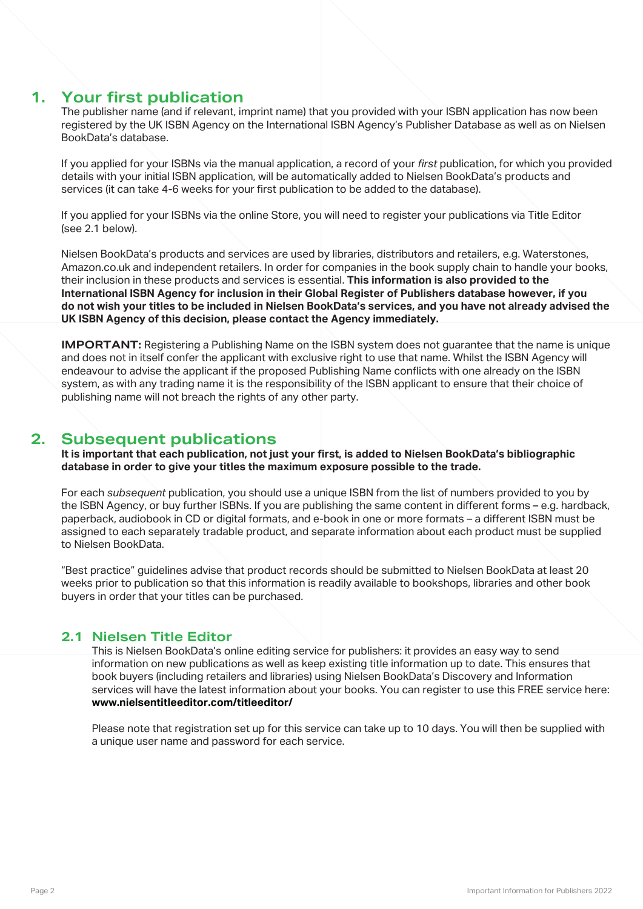## **1. Your first publication**

The publisher name (and if relevant, imprint name) that you provided with your ISBN application has now been registered by the UK ISBN Agency on the International ISBN Agency's Publisher Database as well as on Nielsen BookData's database.

If you applied for your ISBNs via the manual application, a record of your *first* publication, for which you provided details with your initial ISBN application, will be automatically added to Nielsen BookData's products and services (it can take 4-6 weeks for your first publication to be added to the database).

If you applied for your ISBNs via the online Store, you will need to register your publications via Title Editor (see 2.1 below).

Nielsen BookData's products and services are used by libraries, distributors and retailers, e.g. Waterstones, Amazon.co.uk and independent retailers. In order for companies in the book supply chain to handle your books, their inclusion in these products and services is essential. **This information is also provided to the International ISBN Agency for inclusion in their Global Register of Publishers database however, if you do not wish your titles to be included in Nielsen BookData's services, and you have not already advised the UK ISBN Agency of this decision, please contact the Agency immediately.**

**IMPORTANT:** Registering a Publishing Name on the ISBN system does not guarantee that the name is unique and does not in itself confer the applicant with exclusive right to use that name. Whilst the ISBN Agency will endeavour to advise the applicant if the proposed Publishing Name conflicts with one already on the ISBN system, as with any trading name it is the responsibility of the ISBN applicant to ensure that their choice of publishing name will not breach the rights of any other party.

## **2. Subsequent publications**

**It is important that each publication, not just your first, is added to Nielsen BookData's bibliographic database in order to give your titles the maximum exposure possible to the trade.**

For each *subsequent* publication, you should use a unique ISBN from the list of numbers provided to you by the ISBN Agency, or buy further ISBNs. If you are publishing the same content in different forms – e.g. hardback, paperback, audiobook in CD or digital formats, and e-book in one or more formats – a different ISBN must be assigned to each separately tradable product, and separate information about each product must be supplied to Nielsen BookData.

"Best practice" guidelines advise that product records should be submitted to Nielsen BookData at least 20 weeks prior to publication so that this information is readily available to bookshops, libraries and other book buyers in order that your titles can be purchased.

## **2.1 Nielsen Title Editor**

 This is Nielsen BookData's online editing service for publishers: it provides an easy way to send information on new publications as well as keep existing title information up to date. This ensures that book buyers (including retailers and libraries) using Nielsen BookData's Discovery and Information services will have the latest information about your books. You can register to use this FREE service here: **www.nielsentitleeditor.com/titleeditor/**

 Please note that registration set up for this service can take up to 10 days. You will then be supplied with a unique user name and password for each service.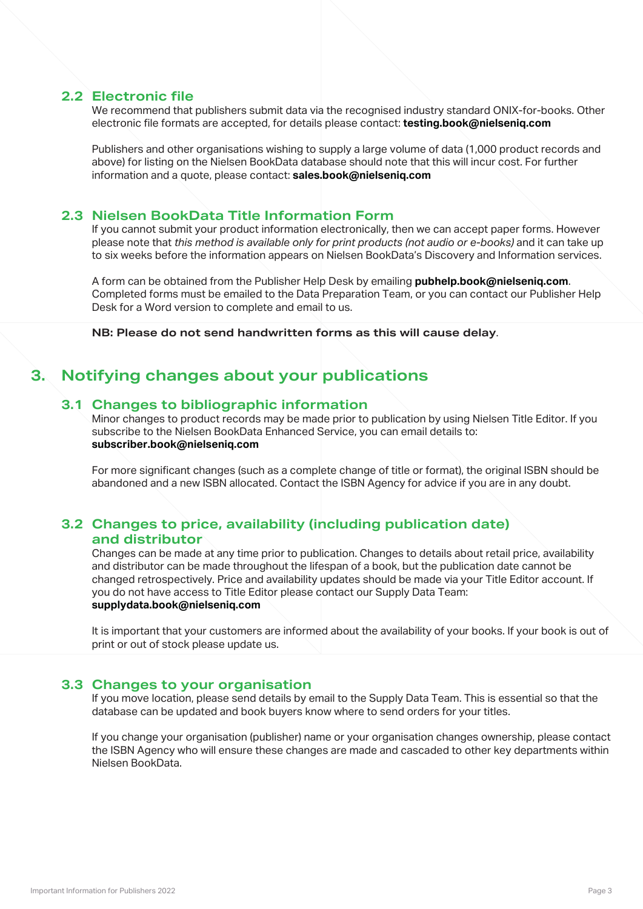#### **2.2 Electronic file**

 We recommend that publishers submit data via the recognised industry standard ONIX-for-books. Other electronic file formats are accepted, for details please contact: **testing.book@nielseniq.com**

 Publishers and other organisations wishing to supply a large volume of data (1,000 product records and above) for listing on the Nielsen BookData database should note that this will incur cost. For further information and a quote, please contact: **sales.book@nielseniq.com**

#### **2.3 Nielsen BookData Title Information Form**

 If you cannot submit your product information electronically, then we can accept paper forms. However please note that *this method is available only for print products (not audio or e-books)* and it can take up to six weeks before the information appears on Nielsen BookData's Discovery and Information services.

 A form can be obtained from the Publisher Help Desk by emailing **pubhelp.book@nielseniq.com**. Completed forms must be emailed to the Data Preparation Team, or you can contact our Publisher Help Desk for a Word version to complete and email to us.

**NB: Please do not send handwritten forms as this will cause delay**.

## **3. Notifying changes about your publications**

#### **3.1 Changes to bibliographic information**

 Minor changes to product records may be made prior to publication by using Nielsen Title Editor. If you subscribe to the Nielsen BookData Enhanced Service, you can email details to: **subscriber.book@nielseniq.com**

 For more significant changes (such as a complete change of title or format), the original ISBN should be abandoned and a new ISBN allocated. Contact the ISBN Agency for advice if you are in any doubt.

## **3.2 Changes to price, availability (including publication date) and distributor**

 Changes can be made at any time prior to publication. Changes to details about retail price, availability and distributor can be made throughout the lifespan of a book, but the publication date cannot be changed retrospectively. Price and availability updates should be made via your Title Editor account. If you do not have access to Title Editor please contact our Supply Data Team: **supplydata.book@nielseniq.com**

 It is important that your customers are informed about the availability of your books. If your book is out of print or out of stock please update us.

#### **3.3 Changes to your organisation**

 If you move location, please send details by email to the Supply Data Team. This is essential so that the database can be updated and book buyers know where to send orders for your titles.

 If you change your organisation (publisher) name or your organisation changes ownership, please contact the ISBN Agency who will ensure these changes are made and cascaded to other key departments within Nielsen BookData.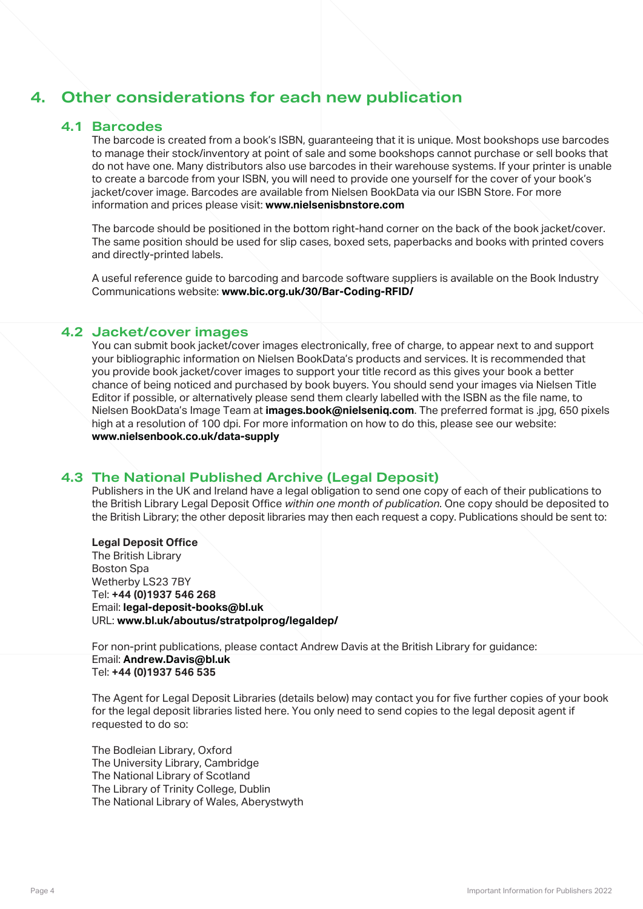## **4. Other considerations for each new publication**

#### **4.1 Barcodes**

 The barcode is created from a book's ISBN, guaranteeing that it is unique. Most bookshops use barcodes to manage their stock/inventory at point of sale and some bookshops cannot purchase or sell books that do not have one. Many distributors also use barcodes in their warehouse systems. If your printer is unable to create a barcode from your ISBN, you will need to provide one yourself for the cover of your book's jacket/cover image. Barcodes are available from Nielsen BookData via our ISBN Store. For more information and prices please visit: **www.nielsenisbnstore.com**

 The barcode should be positioned in the bottom right-hand corner on the back of the book jacket/cover. The same position should be used for slip cases, boxed sets, paperbacks and books with printed covers and directly-printed labels.

 A useful reference guide to barcoding and barcode software suppliers is available on the Book Industry Communications website: **www.bic.org.uk/30/Bar-Coding-RFID/**

#### **4.2 Jacket/cover images**

 You can submit book jacket/cover images electronically, free of charge, to appear next to and support your bibliographic information on Nielsen BookData's products and services. It is recommended that you provide book jacket/cover images to support your title record as this gives your book a better chance of being noticed and purchased by book buyers. You should send your images via Nielsen Title Editor if possible, or alternatively please send them clearly labelled with the ISBN as the file name, to Nielsen BookData's Image Team at **images.book@nielseniq.com**. The preferred format is .jpg, 650 pixels high at a resolution of 100 dpi. For more information on how to do this, please see our website: **www.nielsenbook.co.uk/data-supply**

#### **4.3 The National Published Archive (Legal Deposit)**

 Publishers in the UK and Ireland have a legal obligation to send one copy of each of their publications to the British Library Legal Deposit Office *within one month of publication*. One copy should be deposited to the British Library; the other deposit libraries may then each request a copy. Publications should be sent to:

#### **Legal Deposit Office**

 The British Library Boston Spa Wetherby LS23 7BY Tel: **+44 (0)1937 546 268** Email: **legal-deposit-books@bl.uk** URL: **www.bl.uk/aboutus/stratpolprog/legaldep/**

 For non-print publications, please contact Andrew Davis at the British Library for guidance: Email: **Andrew.Davis@bl.uk** Tel: **+44 (0)1937 546 535**

 The Agent for Legal Deposit Libraries (details below) may contact you for five further copies of your book for the legal deposit libraries listed here. You only need to send copies to the legal deposit agent if requested to do so:

 The Bodleian Library, Oxford The University Library, Cambridge The National Library of Scotland The Library of Trinity College, Dublin The National Library of Wales, Aberystwyth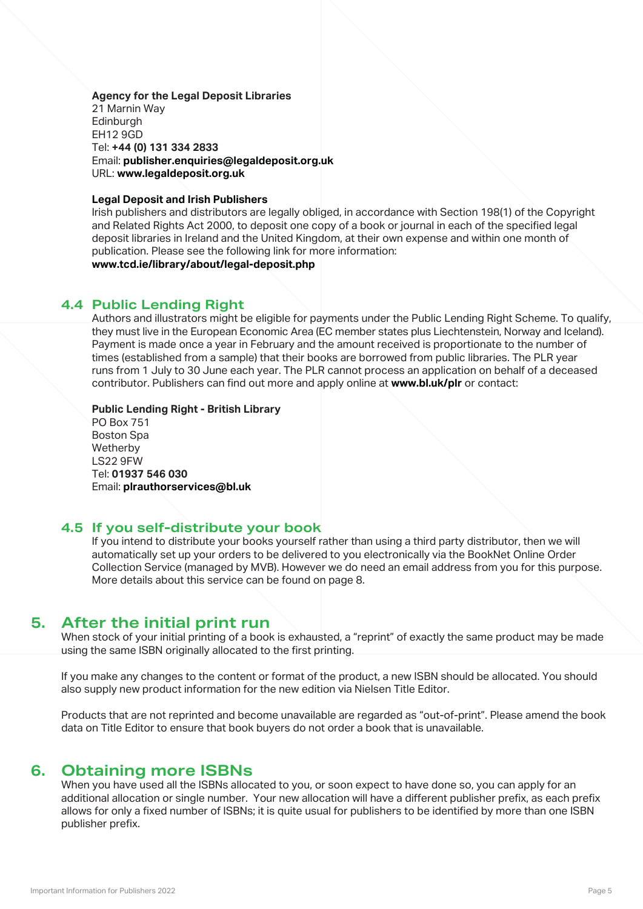**Agency for the Legal Deposit Libraries** 21 Marnin Way **Edinburgh**  EH12 9GD Tel: **+44 (0) 131 334 2833** Email: **publisher.enquiries@legaldeposit.org.uk** URL: **www.legaldeposit.org.uk**

#### **Legal Deposit and Irish Publishers**

 Irish publishers and distributors are legally obliged, in accordance with Section 198(1) of the Copyright and Related Rights Act 2000, to deposit one copy of a book or journal in each of the specified legal deposit libraries in Ireland and the United Kingdom, at their own expense and within one month of publication. Please see the following link for more information:

**www.tcd.ie/library/about/legal-deposit.php**

#### **4.4 Public Lending Right**

 Authors and illustrators might be eligible for payments under the Public Lending Right Scheme. To qualify, they must live in the European Economic Area (EC member states plus Liechtenstein, Norway and Iceland). Payment is made once a year in February and the amount received is proportionate to the number of times (established from a sample) that their books are borrowed from public libraries. The PLR year runs from 1 July to 30 June each year. The PLR cannot process an application on behalf of a deceased contributor. Publishers can find out more and apply online at **www.bl.uk/plr** or contact:

 **Public Lending Right - British Library** PO Box 751 Boston Spa Wetherby LS22 9FW Tel: **01937 546 030** Email: **plrauthorservices@bl.uk**

#### **4.5 If you self-distribute your book**

 If you intend to distribute your books yourself rather than using a third party distributor, then we will automatically set up your orders to be delivered to you electronically via the BookNet Online Order Collection Service (managed by MVB). However we do need an email address from you for this purpose. More details about this service can be found on page 8.

## **5. After the initial print run**

When stock of your initial printing of a book is exhausted, a "reprint" of exactly the same product may be made using the same ISBN originally allocated to the first printing.

If you make any changes to the content or format of the product, a new ISBN should be allocated. You should also supply new product information for the new edition via Nielsen Title Editor.

Products that are not reprinted and become unavailable are regarded as "out-of-print". Please amend the book data on Title Editor to ensure that book buyers do not order a book that is unavailable.

## **6. Obtaining more ISBNs**

When you have used all the ISBNs allocated to you, or soon expect to have done so, you can apply for an additional allocation or single number. Your new allocation will have a different publisher prefix, as each prefix allows for only a fixed number of ISBNs; it is quite usual for publishers to be identified by more than one ISBN publisher prefix.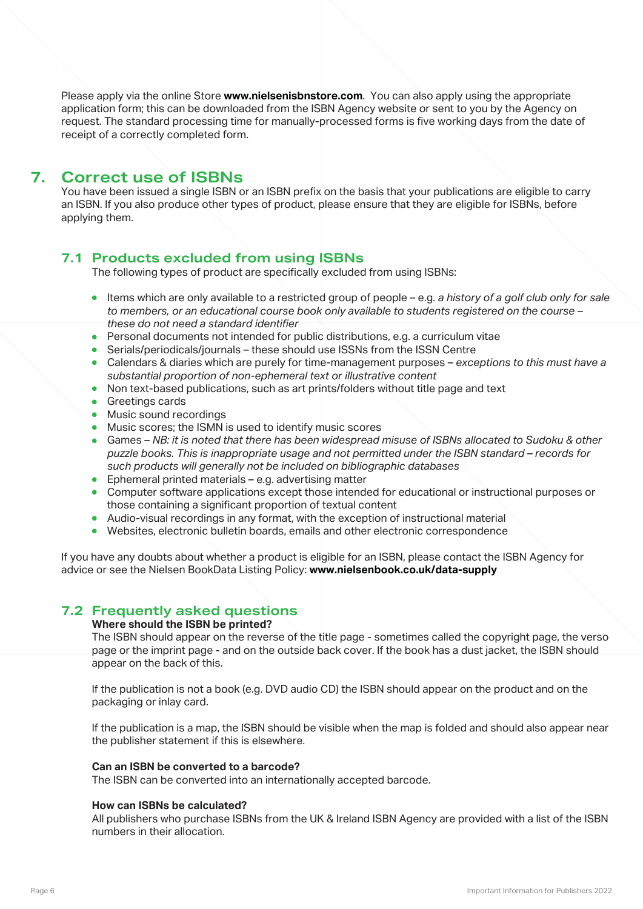Please apply via the online Store **www.nielsenisbnstore.com**. You can also apply using the appropriate application form; this can be downloaded from the ISBN Agency website or sent to you by the Agency on request. The standard processing time for manually-processed forms is five working days from the date of receipt of a correctly completed form.

## **7. Correct use of ISBNs**

You have been issued a single ISBN or an ISBN prefix on the basis that your publications are eligible to carry an ISBN. If you also produce other types of product, please ensure that they are eligible for ISBNs, before applying them.

## **7.1 Products excluded from using ISBNs**

The following types of product are specifically excluded from using ISBNs:

- **Items which are only available to a restricted group of people e.g.** *a history of a golf club only for sale to members, or an educational course book only available to students registered on the course – these do not need a standard identifier*
- **•** Personal documents not intended for public distributions, e.g. a curriculum vitae
- **•** Serials/periodicals/journals these should use ISSNs from the ISSN Centre
- **Calendars & diaries which are purely for time-management purposes exceptions to this must have a**  *substantial proportion of non-ephemeral text or illustrative content*
- <sup>l</sup> Non text-based publications, such as art prints/folders without title page and text
- **•** Greetings cards
- **•** Music sound recordings
- $\bullet$  Music scores; the ISMN is used to identify music scores
- **Games NB: it is noted that there has been widespread misuse of ISBNs allocated to Sudoku & other**  *puzzle books. This is inappropriate usage and not permitted under the ISBN standard – records for such products will generally not be included on bibliographic databases*
- $\bullet$  Ephemeral printed materials e.g. advertising matter
- Computer software applications except those intended for educational or instructional purposes or those containing a significant proportion of textual content
- $\bullet$  Audio-visual recordings in any format, with the exception of instructional material
- **•** Websites, electronic bulletin boards, emails and other electronic correspondence

If you have any doubts about whether a product is eligible for an ISBN, please contact the ISBN Agency for advice or see the Nielsen BookData Listing Policy: **www.nielsenbook.co.uk/data-supply**

## **7.2 Frequently asked questions**

#### **Where should the ISBN be printed?**

 The ISBN should appear on the reverse of the title page - sometimes called the copyright page, the verso page or the imprint page - and on the outside back cover. If the book has a dust jacket, the ISBN should appear on the back of this.

 If the publication is not a book (e.g. DVD audio CD) the ISBN should appear on the product and on the packaging or inlay card.

 If the publication is a map, the ISBN should be visible when the map is folded and should also appear near the publisher statement if this is elsewhere.

#### **Can an ISBN be converted to a barcode?**

The ISBN can be converted into an internationally accepted barcode.

#### **How can ISBNs be calculated?**

 All publishers who purchase ISBNs from the UK & Ireland ISBN Agency are provided with a list of the ISBN numbers in their allocation.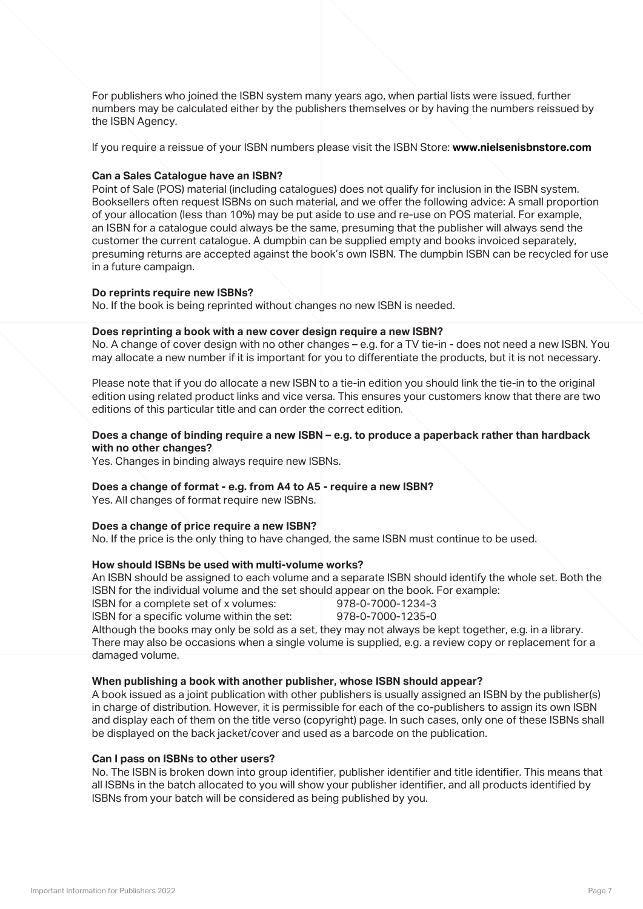For publishers who joined the ISBN system many years ago, when partial lists were issued, further numbers may be calculated either by the publishers themselves or by having the numbers reissued by the ISBN Agency.

If you require a reissue of your ISBN numbers please visit the ISBN Store: **www.nielsenisbnstore.com**

#### **Can a Sales Catalogue have an ISBN?**

 Point of Sale (POS) material (including catalogues) does not qualify for inclusion in the ISBN system. Booksellers often request ISBNs on such material, and we offer the following advice: A small proportion of your allocation (less than 10%) may be put aside to use and re-use on POS material. For example, an ISBN for a catalogue could always be the same, presuming that the publisher will always send the customer the current catalogue. A dumpbin can be supplied empty and books invoiced separately, presuming returns are accepted against the book's own ISBN. The dumpbin ISBN can be recycled for use in a future campaign.

#### **Do reprints require new ISBNs?**

No. If the book is being reprinted without changes no new ISBN is needed.

#### **Does reprinting a book with a new cover design require a new ISBN?**

 No. A change of cover design with no other changes – e.g. for a TV tie-in - does not need a new ISBN. You may allocate a new number if it is important for you to differentiate the products, but it is not necessary.

 Please note that if you do allocate a new ISBN to a tie-in edition you should link the tie-in to the original edition using related product links and vice versa. This ensures your customers know that there are two editions of this particular title and can order the correct edition.

#### **Does a change of binding require a new ISBN – e.g. to produce a paperback rather than hardback with no other changes?**

Yes. Changes in binding always require new ISBNs.

#### **Does a change of format - e.g. from A4 to A5 - require a new ISBN?**

Yes. All changes of format require new ISBNs.

#### **Does a change of price require a new ISBN?**

No. If the price is the only thing to have changed, the same ISBN must continue to be used.

#### **How should ISBNs be used with multi-volume works?**

 An ISBN should be assigned to each volume and a separate ISBN should identify the whole set. Both the ISBN for the individual volume and the set should appear on the book. For example:

ISBN for a complete set of x volumes:<br>
ISBN for a specific volume within the set: 978-0-7000-1235-0

ISBN for a specific volume within the set:

 Although the books may only be sold as a set, they may not always be kept together, e.g. in a library. There may also be occasions when a single volume is supplied, e.g. a review copy or replacement for a damaged volume.

#### **When publishing a book with another publisher, whose ISBN should appear?**

 A book issued as a joint publication with other publishers is usually assigned an ISBN by the publisher(s) in charge of distribution. However, it is permissible for each of the co-publishers to assign its own ISBN and display each of them on the title verso (copyright) page. In such cases, only one of these ISBNs shall be displayed on the back jacket/cover and used as a barcode on the publication.

#### **Can I pass on ISBNs to other users?**

 No. The ISBN is broken down into group identifier, publisher identifier and title identifier. This means that all ISBNs in the batch allocated to you will show your publisher identifier, and all products identified by ISBNs from your batch will be considered as being published by you.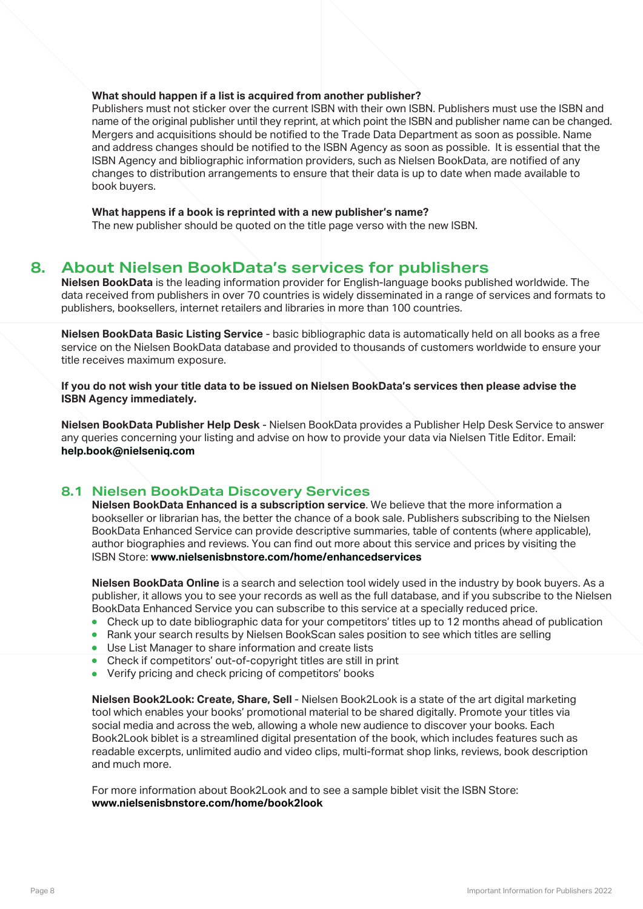#### **What should happen if a list is acquired from another publisher?**

 Publishers must not sticker over the current ISBN with their own ISBN. Publishers must use the ISBN and name of the original publisher until they reprint, at which point the ISBN and publisher name can be changed. Mergers and acquisitions should be notified to the Trade Data Department as soon as possible. Name and address changes should be notified to the ISBN Agency as soon as possible. It is essential that the ISBN Agency and bibliographic information providers, such as Nielsen BookData, are notified of any changes to distribution arrangements to ensure that their data is up to date when made available to book buyers.

#### **What happens if a book is reprinted with a new publisher's name?**

The new publisher should be quoted on the title page verso with the new ISBN.

## **8. About Nielsen BookData's services for publishers**

**Nielsen BookData** is the leading information provider for English-language books published worldwide. The data received from publishers in over 70 countries is widely disseminated in a range of services and formats to publishers, booksellers, internet retailers and libraries in more than 100 countries.

**Nielsen BookData Basic Listing Service** - basic bibliographic data is automatically held on all books as a free service on the Nielsen BookData database and provided to thousands of customers worldwide to ensure your title receives maximum exposure.

**If you do not wish your title data to be issued on Nielsen BookData's services then please advise the ISBN Agency immediately.**

**Nielsen BookData Publisher Help Desk** - Nielsen BookData provides a Publisher Help Desk Service to answer any queries concerning your listing and advise on how to provide your data via Nielsen Title Editor. Email: **help.book@nielseniq.com**

## **8.1 Nielsen BookData Discovery Services**

 **Nielsen BookData Enhanced is a subscription service**. We believe that the more information a bookseller or librarian has, the better the chance of a book sale. Publishers subscribing to the Nielsen BookData Enhanced Service can provide descriptive summaries, table of contents (where applicable), author biographies and reviews. You can find out more about this service and prices by visiting the ISBN Store: **www.nielsenisbnstore.com/home/enhancedservices**

 **Nielsen BookData Online** is a search and selection tool widely used in the industry by book buyers. As a publisher, it allows you to see your records as well as the full database, and if you subscribe to the Nielsen BookData Enhanced Service you can subscribe to this service at a specially reduced price.

- Check up to date bibliographic data for your competitors' titles up to 12 months ahead of publication
- Rank your search results by Nielsen BookScan sales position to see which titles are selling
- **.** Use List Manager to share information and create lists
- Check if competitors' out-of-copyright titles are still in print
- Verify pricing and check pricing of competitors' books

 **Nielsen Book2Look: Create, Share, Sell** - Nielsen Book2Look is a state of the art digital marketing tool which enables your books' promotional material to be shared digitally. Promote your titles via social media and across the web, allowing a whole new audience to discover your books. Each Book2Look biblet is a streamlined digital presentation of the book, which includes features such as readable excerpts, unlimited audio and video clips, multi-format shop links, reviews, book description and much more.

 For more information about Book2Look and to see a sample biblet visit the ISBN Store: **www.nielsenisbnstore.com/home/book2look**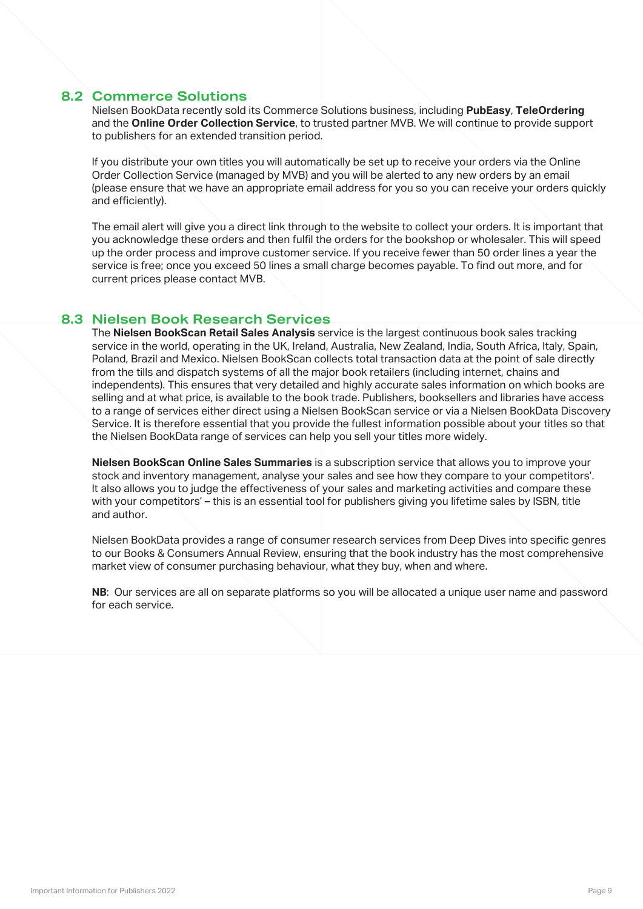#### **8.2 Commerce Solutions**

 Nielsen BookData recently sold its Commerce Solutions business, including **PubEasy**, **TeleOrdering** and the **Online Order Collection Service**, to trusted partner MVB. We will continue to provide support to publishers for an extended transition period.

 If you distribute your own titles you will automatically be set up to receive your orders via the Online Order Collection Service (managed by MVB) and you will be alerted to any new orders by an email (please ensure that we have an appropriate email address for you so you can receive your orders quickly and efficiently).

 The email alert will give you a direct link through to the website to collect your orders. It is important that you acknowledge these orders and then fulfil the orders for the bookshop or wholesaler. This will speed up the order process and improve customer service. If you receive fewer than 50 order lines a year the service is free; once you exceed 50 lines a small charge becomes payable. To find out more, and for current prices please contact MVB.

#### **8.3 Nielsen Book Research Services**

 The **Nielsen BookScan Retail Sales Analysis** service is the largest continuous book sales tracking service in the world, operating in the UK, Ireland, Australia, New Zealand, India, South Africa, Italy, Spain, Poland, Brazil and Mexico. Nielsen BookScan collects total transaction data at the point of sale directly from the tills and dispatch systems of all the major book retailers (including internet, chains and independents). This ensures that very detailed and highly accurate sales information on which books are selling and at what price, is available to the book trade. Publishers, booksellers and libraries have access to a range of services either direct using a Nielsen BookScan service or via a Nielsen BookData Discovery Service. It is therefore essential that you provide the fullest information possible about your titles so that the Nielsen BookData range of services can help you sell your titles more widely.

 **Nielsen BookScan Online Sales Summaries** is a subscription service that allows you to improve your stock and inventory management, analyse your sales and see how they compare to your competitors'. It also allows you to judge the effectiveness of your sales and marketing activities and compare these with your competitors' – this is an essential tool for publishers giving you lifetime sales by ISBN, title and author.

 Nielsen BookData provides a range of consumer research services from Deep Dives into specific genres to our Books & Consumers Annual Review, ensuring that the book industry has the most comprehensive market view of consumer purchasing behaviour, what they buy, when and where.

 **NB**: Our services are all on separate platforms so you will be allocated a unique user name and password for each service.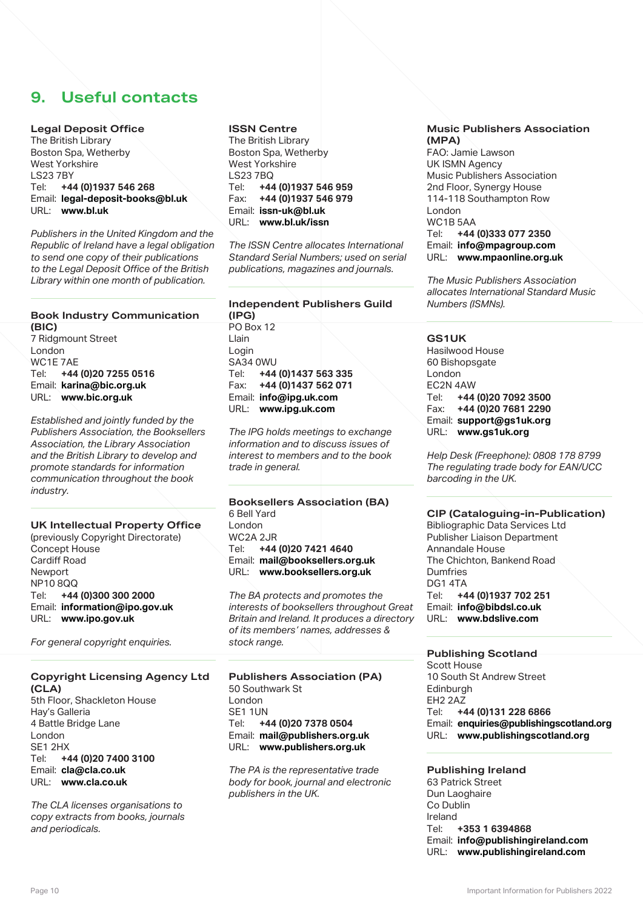## **9. Useful contacts**

#### **Legal Deposit Office**

The British Library Boston Spa, Wetherby West Yorkshire LS23 7BY<br>Tel: +4 Tel: **+44 (0)1937 546 268** Email: **legal-deposit-books@bl.uk** URL: **www.bl.uk**

*Publishers in the United Kingdom and the Republic of Ireland have a legal obligation to send one copy of their publications to the Legal Deposit Office of the British Library within one month of publication.*

## **Book Industry Communication**

**(BIC)** 7 Ridgmount Street London WC1E 7AE Tel: **+44 (0)20 7255 0516** Email: **karina@bic.org.uk** URL: **www.bic.org.uk**

*Established and jointly funded by the Publishers Association, the Booksellers Association, the Library Association and the British Library to develop and promote standards for information communication throughout the book industry.*

#### **UK Intellectual Property Office**

(previously Copyright Directorate) Concept House Cardiff Road Newport NP10 8QQ Tel: **+44 (0)300 300 2000** Email: **information@ipo.gov.uk** URL: **www.ipo.gov.uk**

*For general copyright enquiries.*

#### **Copyright Licensing Agency Ltd (CLA)**

5th Floor, Shackleton House Hay's Galleria 4 Battle Bridge Lane London SE1 2HX<br>Tel: +4 Tel: **+44 (0)20 7400 3100** Email: **cla@cla.co.uk** URL: **www.cla.co.uk**

*The CLA licenses organisations to copy extracts from books, journals and periodicals.*

#### **ISSN Centre**

The British Library Boston Spa, Wetherby West Yorkshire LS23 7BQ<br>Tel: +44 Tel: **+44 (0)1937 546 959** Fax: **+44 (0)1937 546 979** Email: **issn-uk@bl.uk** URL: **www.bl.uk/issn**

*The ISSN Centre allocates International Standard Serial Numbers; used on serial publications, magazines and journals.*

#### **Independent Publishers Guild (IPG)**

PO Box 12 Llain Login SA34 0WU<br>Tel: +44 Tel: **+44 (0)1437 563 335** Fax: **+44 (0)1437 562 071** Email: **info@ipg.uk.com** URL: **www.ipg.uk.com**

*The IPG holds meetings to exchange information and to discuss issues of interest to members and to the book trade in general.*

**Booksellers Association (BA)** 6 Bell Yard London WC2A 2JR<br>Tel: +44 Tel: **+44 (0)20 7421 4640** Email: **mail@booksellers.org.uk** URL: **www.booksellers.org.uk**

*The BA protects and promotes the interests of booksellers throughout Great Britain and Ireland. It produces a directory of its members' names, addresses & stock range.*

**Publishers Association (PA)** 50 Southwark St London SE1 1UN<br>Tel: +4 Tel: **+44 (0)20 7378 0504** Email: **mail@publishers.org.uk** URL: **www.publishers.org.uk**

*The PA is the representative trade body for book, journal and electronic publishers in the UK.* 

#### **Music Publishers Association (MPA)**

FAO: Jamie Lawson UK ISMN Agency Music Publishers Association 2nd Floor, Synergy House 114-118 Southampton Row London WC1B 5AA<br>Tel: +44 Tel: **+44 (0)333 077 2350** Email: **info@mpagroup.com** URL: **www.mpaonline.org.uk**

*The Music Publishers Association allocates International Standard Music Numbers (ISMNs).*

#### **GS1UK**

Hasilwood House 60 Bishopsgate London EC2N 4AW<br>Tel: +44 Tel: **+44 (0)20 7092 3500** Fax: **+44 (0)20 7681 2290** Email: **support@gs1uk.org** URL: **www.gs1uk.org**

*Help Desk (Freephone): 0808 178 8799 The regulating trade body for EAN/UCC barcoding in the UK.*

#### **CIP (Cataloguing-in-Publication)**

Bibliographic Data Services Ltd Publisher Liaison Department Annandale House The Chichton, Bankend Road Dumfries DG1 4TA<br>Tel: +4 Tel: **+44 (0)1937 702 251** Email: **info@bibdsl.co.uk** URL: **www.bdslive.com**

#### **Publishing Scotland**

Scott House 10 South St Andrew Street **Edinburgh** EH<sub>2</sub> 2A<sub>Z</sub> Tel: **+44 (0)131 228 6866** Email: **enquiries@publishingscotland.org** URL: **www.publishingscotland.org**

#### **Publishing Ireland**

63 Patrick Street Dun Laoghaire Co Dublin Ireland<br>Tel: Tel: **+353 1 6394868** Email: **info@publishingireland.com** URL: **www.publishingireland.com**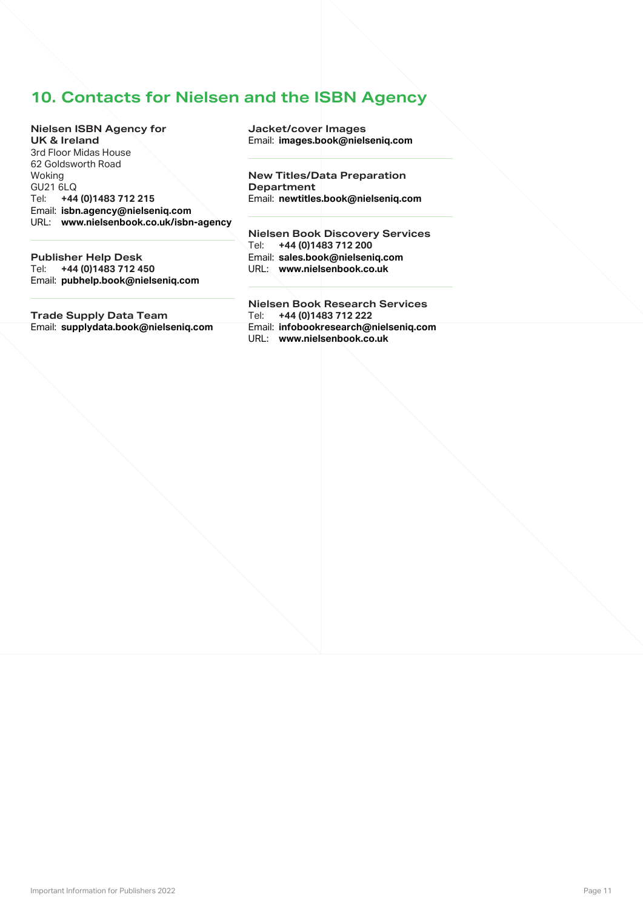## **10. Contacts for Nielsen and the ISBN Agency**

**Nielsen ISBN Agency for UK & Ireland** 3rd Floor Midas House 62 Goldsworth Road Woking GU21 6LQ<br>Tel: +44 Tel: **+44 (0)1483 712 215** Email: **isbn.agency@nielseniq.com** URL: **www.nielsenbook.co.uk/isbn-agency**

**Publisher Help Desk** Tel: **+44 (0)1483 712 450** Email: **pubhelp.book@nielseniq.com**

**Trade Supply Data Team** Email: **supplydata.book@nielseniq.com**

**Jacket/cover Images** Email: **images.book@nielseniq.com** 

**New Titles/Data Preparation Department** Email: **newtitles.book@nielseniq.com**

**Nielsen Book Discovery Services** Tel: **+44 (0)1483 712 200** Email: **sales.book@nielseniq.com** URL: **www.nielsenbook.co.uk**

**Nielsen Book Research Services** Tel: **+44 (0)1483 712 222** Email: **infobookresearch@nielseniq.com** URL: **www.nielsenbook.co.uk**